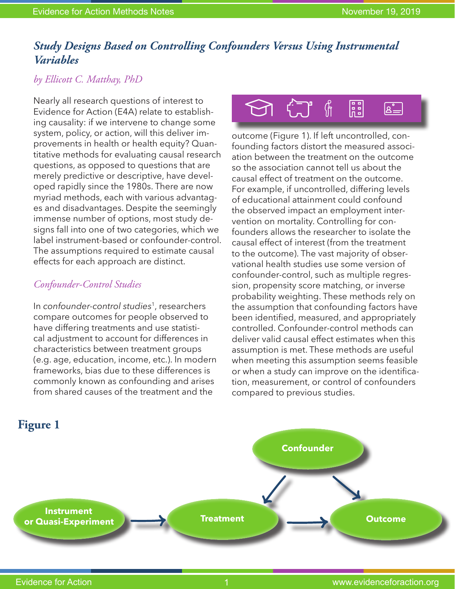# *Study Designs Based on Controlling Confounders Versus Using Instrumental Variables*

## *by Ellicott C. Matthay, PhD*

Nearly all research questions of interest to Evidence for Action (E4A) relate to establishing causality: if we intervene to change some system, policy, or action, will this deliver improvements in health or health equity? Quantitative methods for evaluating causal research questions, as opposed to questions that are merely predictive or descriptive, have developed rapidly since the 1980s. There are now myriad methods, each with various advantages and disadvantages. Despite the seemingly immense number of options, most study designs fall into one of two categories, which we label instrument-based or confounder-control. The assumptions required to estimate causal effects for each approach are distinct.

### *Confounder-Control Studies*

In *confounder-control studies*1, researchers compare outcomes for people observed to have differing treatments and use statistical adjustment to account for differences in characteristics between treatment groups (e.g. age, education, income, etc.). In modern frameworks, bias due to these differences is commonly known as confounding and arises from shared causes of the treatment and the



outcome (Figure 1). If left uncontrolled, confounding factors distort the measured association between the treatment on the outcome so the association cannot tell us about the causal effect of treatment on the outcome. For example, if uncontrolled, differing levels of educational attainment could confound the observed impact an employment intervention on mortality. Controlling for confounders allows the researcher to isolate the causal effect of interest (from the treatment to the outcome). The vast majority of observational health studies use some version of confounder-control, such as multiple regression, propensity score matching, or inverse probability weighting. These methods rely on the assumption that confounding factors have been identified, measured, and appropriately controlled. Confounder-control methods can deliver valid causal effect estimates when this assumption is met. These methods are useful when meeting this assumption seems feasible or when a study can improve on the identification, measurement, or control of confounders compared to previous studies.

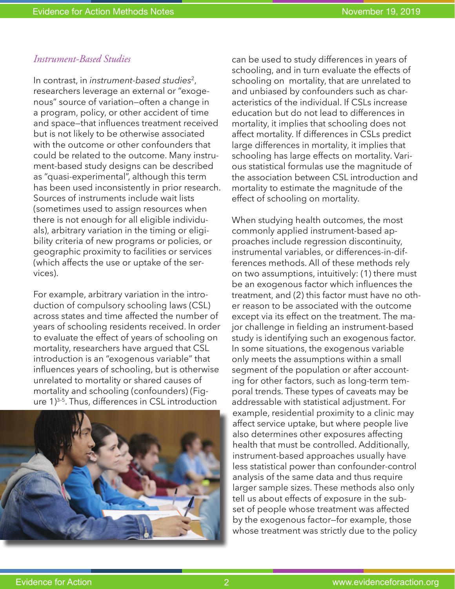#### *Instrument-Based Studies*

In contrast, in *instrument-based studies*2, researchers leverage an external or "exogenous" source of variation—often a change in a program, policy, or other accident of time and space—that influences treatment received but is not likely to be otherwise associated with the outcome or other confounders that could be related to the outcome. Many instrument-based study designs can be described as "quasi-experimental", although this term has been used inconsistently in prior research. Sources of instruments include wait lists (sometimes used to assign resources when there is not enough for all eligible individuals), arbitrary variation in the timing or eligibility criteria of new programs or policies, or geographic proximity to facilities or services (which affects the use or uptake of the services).

For example, arbitrary variation in the introduction of compulsory schooling laws (CSL) across states and time affected the number of years of schooling residents received. In order to evaluate the effect of years of schooling on mortality, researchers have argued that CSL introduction is an "exogenous variable" that influences years of schooling, but is otherwise unrelated to mortality or shared causes of mortality and schooling (confounders) (Figure 1)<sup>3-5</sup>. Thus, differences in CSL introduction



can be used to study differences in years of schooling, and in turn evaluate the effects of schooling on mortality, that are unrelated to and unbiased by confounders such as characteristics of the individual. If CSLs increase education but do not lead to differences in mortality, it implies that schooling does not affect mortality. If differences in CSLs predict large differences in mortality, it implies that schooling has large effects on mortality. Various statistical formulas use the magnitude of the association between CSL introduction and mortality to estimate the magnitude of the effect of schooling on mortality.

When studying health outcomes, the most commonly applied instrument-based approaches include regression discontinuity, instrumental variables, or differences-in-differences methods. All of these methods rely on two assumptions, intuitively: (1) there must be an exogenous factor which influences the treatment, and (2) this factor must have no other reason to be associated with the outcome except via its effect on the treatment. The major challenge in fielding an instrument-based study is identifying such an exogenous factor. In some situations, the exogenous variable only meets the assumptions within a small segment of the population or after accounting for other factors, such as long-term temporal trends. These types of caveats may be addressable with statistical adjustment. For example, residential proximity to a clinic may affect service uptake, but where people live also determines other exposures affecting health that must be controlled. Additionally, instrument-based approaches usually have less statistical power than confounder-control analysis of the same data and thus require larger sample sizes. These methods also only tell us about effects of exposure in the subset of people whose treatment was affected by the exogenous factor—for example, those whose treatment was strictly due to the policy